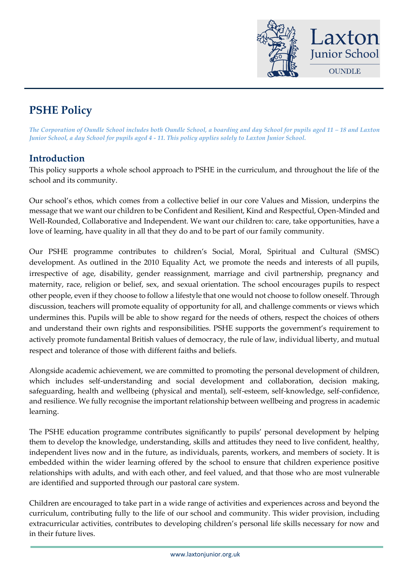

# **PSHE Policy**

*The Corporation of Oundle School includes both Oundle School, a boarding and day School for pupils aged 11 - 18 and Laxton Junior School, a day School for pupils aged 4 - 11. This policy applies solely to Laxton Junior School.*

#### **Introduction**

This policy supports a whole school approach to PSHE in the curriculum, and throughout the life of the school and its community.

Our school's ethos, which comes from a collective belief in our core Values and Mission, underpins the message that we want our children to be Confident and Resilient, Kind and Respectful, Open-Minded and Well-Rounded, Collaborative and Independent. We want our children to: care, take opportunities, have a love of learning, have quality in all that they do and to be part of our family community.

Our PSHE programme contributes to children's Social, Moral, Spiritual and Cultural (SMSC) development. As outlined in the 2010 Equality Act, we promote the needs and interests of all pupils, irrespective of age, disability, gender reassignment, marriage and civil partnership, pregnancy and maternity, race, religion or belief, sex, and sexual orientation. The school encourages pupils to respect other people, even if they choose to follow a lifestyle that one would not choose to follow oneself. Through discussion, teachers will promote equality of opportunity for all, and challenge comments or views which undermines this. Pupils will be able to show regard for the needs of others, respect the choices of others and understand their own rights and responsibilities. PSHE supports the government's requirement to actively promote fundamental British values of democracy, the rule of law, individual liberty, and mutual respect and tolerance of those with different faiths and beliefs.

Alongside academic achievement, we are committed to promoting the personal development of children, which includes self-understanding and social development and collaboration, decision making, safeguarding, health and wellbeing (physical and mental), self-esteem, self-knowledge, self-confidence, and resilience. We fully recognise the important relationship between wellbeing and progress in academic learning.

The PSHE education programme contributes significantly to pupils' personal development by helping them to develop the knowledge, understanding, skills and attitudes they need to live confident, healthy, independent lives now and in the future, as individuals, parents, workers, and members of society. It is embedded within the wider learning offered by the school to ensure that children experience positive relationships with adults, and with each other, and feel valued, and that those who are most vulnerable are identified and supported through our pastoral care system.

Children are encouraged to take part in a wide range of activities and experiences across and beyond the curriculum, contributing fully to the life of our school and community. This wider provision, including extracurricular activities, contributes to developing children's personal life skills necessary for now and in their future lives.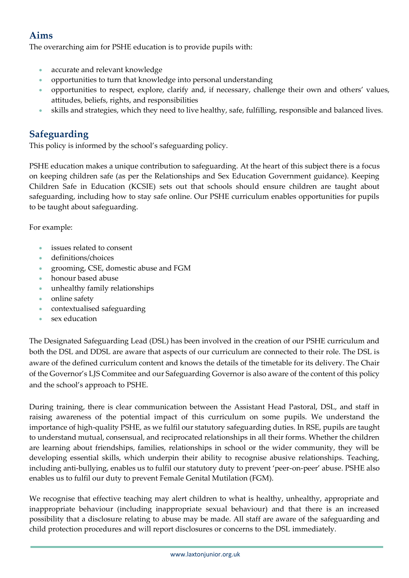## **Aims**

The overarching aim for PSHE education is to provide pupils with:

- accurate and relevant knowledge
- opportunities to turn that knowledge into personal understanding
- opportunities to respect, explore, clarify and, if necessary, challenge their own and others' values, attitudes, beliefs, rights, and responsibilities
- skills and strategies, which they need to live healthy, safe, fulfilling, responsible and balanced lives.

#### **Safeguarding**

This policy is informed by the school's safeguarding policy.

PSHE education makes a unique contribution to safeguarding. At the heart of this subject there is a focus on keeping children safe (as per the Relationships and Sex Education Government guidance). Keeping Children Safe in Education (KCSIE) sets out that schools should ensure children are taught about safeguarding, including how to stay safe online. Our PSHE curriculum enables opportunities for pupils to be taught about safeguarding.

For example:

- issues related to consent
- definitions/choices
- grooming, CSE, domestic abuse and FGM
- honour based abuse
- unhealthy family relationships
- online safety
- contextualised safeguarding
- sex education

The Designated Safeguarding Lead (DSL) has been involved in the creation of our PSHE curriculum and both the DSL and DDSL are aware that aspects of our curriculum are connected to their role. The DSL is aware of the defined curriculum content and knows the details of the timetable for its delivery. The Chair of the Governor's LJS Commitee and our Safeguarding Governor is also aware of the content of this policy and the school's approach to PSHE.

During training, there is clear communication between the Assistant Head Pastoral, DSL, and staff in raising awareness of the potential impact of this curriculum on some pupils. We understand the importance of high-quality PSHE, as we fulfil our statutory safeguarding duties. In RSE, pupils are taught to understand mutual, consensual, and reciprocated relationships in all their forms. Whether the children are learning about friendships, families, relationships in school or the wider community, they will be developing essential skills, which underpin their ability to recognise abusive relationships. Teaching, including anti-bullying, enables us to fulfil our statutory duty to prevent 'peer-on-peer' abuse. PSHE also enables us to fulfil our duty to prevent Female Genital Mutilation (FGM).

We recognise that effective teaching may alert children to what is healthy, unhealthy, appropriate and inappropriate behaviour (including inappropriate sexual behaviour) and that there is an increased possibility that a disclosure relating to abuse may be made. All staff are aware of the safeguarding and child protection procedures and will report disclosures or concerns to the DSL immediately.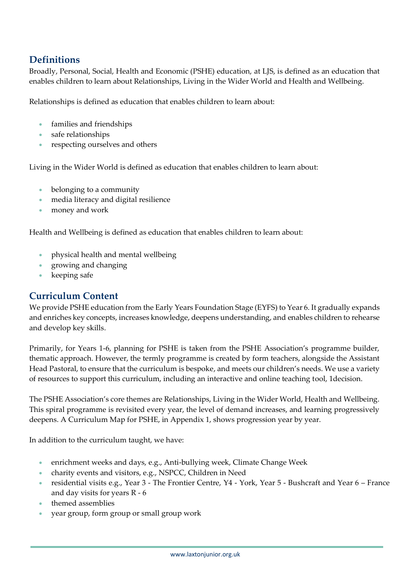## **Definitions**

Broadly, Personal, Social, Health and Economic (PSHE) education, at LJS, is defined as an education that enables children to learn about Relationships, Living in the Wider World and Health and Wellbeing.

Relationships is defined as education that enables children to learn about:

- families and friendships
- safe relationships
- respecting ourselves and others

Living in the Wider World is defined as education that enables children to learn about:

- belonging to a community
- media literacy and digital resilience
- money and work

Health and Wellbeing is defined as education that enables children to learn about:

- physical health and mental wellbeing
- growing and changing
- keeping safe

#### **Curriculum Content**

We provide PSHE education from the Early Years Foundation Stage (EYFS) to Year 6. It gradually expands and enriches key concepts, increases knowledge, deepens understanding, and enables children to rehearse and develop key skills.

Primarily, for Years 1-6, planning for PSHE is taken from the PSHE Association's programme builder, thematic approach. However, the termly programme is created by form teachers, alongside the Assistant Head Pastoral, to ensure that the curriculum is bespoke, and meets our children's needs. We use a variety of resources to support this curriculum, including an interactive and online teaching tool, 1decision.

The PSHE Association's core themes are Relationships, Living in the Wider World, Health and Wellbeing. This spiral programme is revisited every year, the level of demand increases, and learning progressively deepens. A Curriculum Map for PSHE, in Appendix 1, shows progression year by year.

In addition to the curriculum taught, we have:

- enrichment weeks and days, e.g., Anti-bullying week, Climate Change Week
- charity events and visitors, e.g., NSPCC, Children in Need
- residential visits e.g., Year 3 The Frontier Centre, Y4 York, Year 5 Bushcraft and Year 6 France and day visits for years R - 6
- themed assemblies
- year group, form group or small group work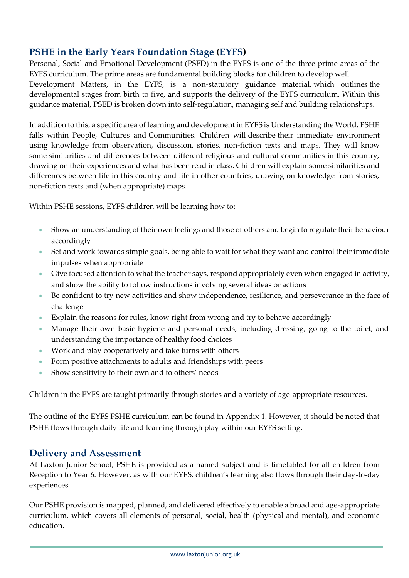### **PSHE in the Early Years Foundation Stage (EYFS)**

Personal, Social and Emotional Development (PSED) in the EYFS is one of the three prime areas of the EYFS curriculum. The prime areas are fundamental building blocks for children to develop well. Development Matters, in the EYFS, is a non-statutory guidance material, which outlines the developmental stages from birth to five, and supports the delivery of the EYFS curriculum. Within this guidance material, PSED is broken down into self-regulation, managing self and building relationships.

In addition to this, a specific area of learning and development in EYFS is Understanding the World. PSHE falls within People, Cultures and Communities. Children will describe their immediate environment using knowledge from observation, discussion, stories, non-fiction texts and maps. They will know some similarities and differences between different religious and cultural communities in this country, drawing on their experiences and what has been read in class. Children will explain some similarities and differences between life in this country and life in other countries, drawing on knowledge from stories, non-fiction texts and (when appropriate) maps.

Within PSHE sessions, EYFS children will be learning how to:

- Show an understanding of their own feelings and those of others and begin to regulate their behaviour accordingly
- Set and work towards simple goals, being able to wait for what they want and control their immediate impulses when appropriate
- Give focused attention to what the teacher says, respond appropriately even when engaged in activity, and show the ability to follow instructions involving several ideas or actions
- Be confident to try new activities and show independence, resilience, and perseverance in the face of challenge
- Explain the reasons for rules, know right from wrong and try to behave accordingly
- Manage their own basic hygiene and personal needs, including dressing, going to the toilet, and understanding the importance of healthy food choices
- Work and play cooperatively and take turns with others
- Form positive attachments to adults and friendships with peers
- Show sensitivity to their own and to others' needs

Children in the EYFS are taught primarily through stories and a variety of age-appropriate resources.

The outline of the EYFS PSHE curriculum can be found in Appendix 1. However, it should be noted that PSHE flows through daily life and learning through play within our EYFS setting.

#### **Delivery and Assessment**

At Laxton Junior School, PSHE is provided as a named subject and is timetabled for all children from Reception to Year 6. However, as with our EYFS, children's learning also flows through their day-to-day experiences.

Our PSHE provision is mapped, planned, and delivered effectively to enable a broad and age-appropriate curriculum, which covers all elements of personal, social, health (physical and mental), and economic education.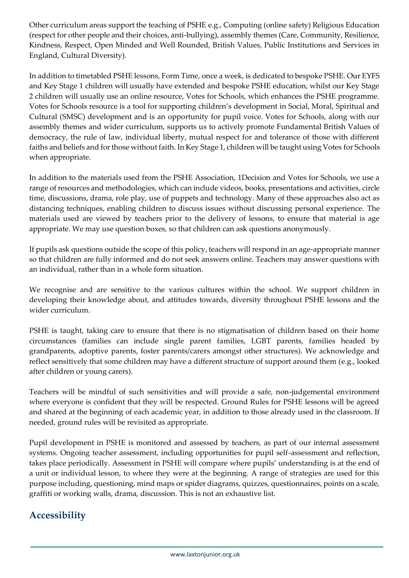Other curriculum areas support the teaching of PSHE e.g., Computing (online safety) Religious Education (respect for other people and their choices, anti-bullying), assembly themes (Care, Community, Resilience, Kindness, Respect, Open Minded and Well Rounded, British Values, Public Institutions and Services in England, Cultural Diversity).

In addition to timetabled PSHE lessons, Form Time, once a week, is dedicated to bespoke PSHE. Our EYFS and Key Stage 1 children will usually have extended and bespoke PSHE education, whilst our Key Stage 2 children will usually use an online resource, Votes for Schools, which enhances the PSHE programme. Votes for Schools resource is a tool for supporting children's development in Social, Moral, Spiritual and Cultural (SMSC) development and is an opportunity for pupil voice. Votes for Schools, along with our assembly themes and wider curriculum, supports us to actively promote Fundamental British Values of democracy, the rule of law, individual liberty, mutual respect for and tolerance of those with different faiths and beliefs and for those without faith. In Key Stage 1, children will be taught using Votes for Schools when appropriate.

In addition to the materials used from the PSHE Association, 1Decision and Votes for Schools, we use a range of resources and methodologies, which can include videos, books, presentations and activities, circle time, discussions, drama, role play, use of puppets and technology. Many of these approaches also act as distancing techniques, enabling children to discuss issues without discussing personal experience. The materials used are viewed by teachers prior to the delivery of lessons, to ensure that material is age appropriate. We may use question boxes, so that children can ask questions anonymously.

If pupils ask questions outside the scope of this policy, teachers will respond in an age-appropriate manner so that children are fully informed and do not seek answers online. Teachers may answer questions with an individual, rather than in a whole form situation.

We recognise and are sensitive to the various cultures within the school. We support children in developing their knowledge about, and attitudes towards, diversity throughout PSHE lessons and the wider curriculum.

PSHE is taught, taking care to ensure that there is no stigmatisation of children based on their home circumstances (families can include single parent families, LGBT parents, families headed by grandparents, adoptive parents, foster parents/carers amongst other structures). We acknowledge and reflect sensitively that some children may have a different structure of support around them (e.g., looked after children or young carers).

Teachers will be mindful of such sensitivities and will provide a safe, non-judgemental environment where everyone is confident that they will be respected. Ground Rules for PSHE lessons will be agreed and shared at the beginning of each academic year, in addition to those already used in the classroom. If needed, ground rules will be revisited as appropriate.

Pupil development in PSHE is monitored and assessed by teachers, as part of our internal assessment systems. Ongoing teacher assessment, including opportunities for pupil self-assessment and reflection, takes place periodically. Assessment in PSHE will compare where pupils' understanding is at the end of a unit or individual lesson, to where they were at the beginning. A range of strategies are used for this purpose including, questioning, mind maps or spider diagrams, quizzes, questionnaires, points on a scale, graffiti or working walls, drama, discussion. This is not an exhaustive list.

## **Accessibility**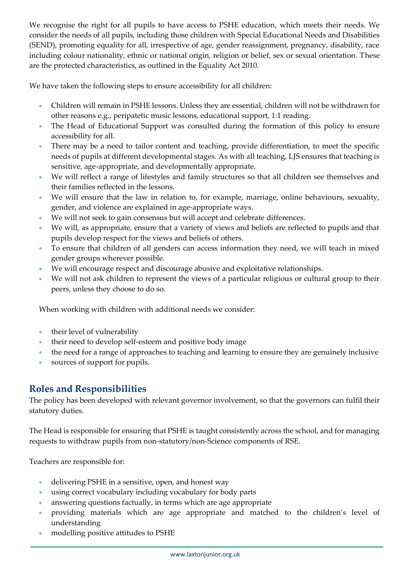We recognise the right for all pupils to have access to PSHE education, which meets their needs. We consider the needs of all pupils, including those children with Special Educational Needs and Disabilities (SEND), promoting equality for all, irrespective of age, gender reassignment, pregnancy, disability, race including colour nationality, ethnic or national origin, religion or belief, sex or sexual orientation. These are the protected characteristics, as outlined in the Equality Act 2010.

We have taken the following steps to ensure accessibility for all children:

- Children will remain in PSHE lessons. Unless they are essential, children will not be withdrawn for other reasons e.g., peripatetic music lessons, educational support, 1:1 reading.
- The Head of Educational Support was consulted during the formation of this policy to ensure accessibility for all.
- There may be a need to tailor content and teaching, provide differentiation, to meet the specific needs of pupils at different developmental stages. As with all teaching, LJS ensures that teaching is sensitive, age-appropriate, and developmentally appropriate.
- We will reflect a range of lifestyles and family structures so that all children see themselves and their families reflected in the lessons.
- We will ensure that the law in relation to, for example, marriage, online behaviours, sexuality, gender, and violence are explained in age-appropriate ways.
- We will not seek to gain consensus but will accept and celebrate differences.
- We will, as appropriate, ensure that a variety of views and beliefs are reflected to pupils and that pupils develop respect for the views and beliefs of others.
- To ensure that children of all genders can access information they need, we will teach in mixed gender groups wherever possible.
- We will encourage respect and discourage abusive and exploitative relationships.
- We will not ask children to represent the views of a particular religious or cultural group to their peers, unless they choose to do so.

When working with children with additional needs we consider:

- their level of vulnerability
- their need to develop self-esteem and positive body image
- the need for a range of approaches to teaching and learning to ensure they are genuinely inclusive
- sources of support for pupils.

#### **Roles and Responsibilities**

The policy has been developed with relevant governor involvement, so that the governors can fulfil their statutory duties.

The Head is responsible for ensuring that PSHE is taught consistently across the school, and for managing requests to withdraw pupils from non-statutory/non-Science components of RSE.

Teachers are responsible for:

- delivering PSHE in a sensitive, open, and honest way
- using correct vocabulary including vocabulary for body parts
- answering questions factually, in terms which are age appropriate
- providing materials which are age appropriate and matched to the children's level of understanding
- modelling positive attitudes to PSHE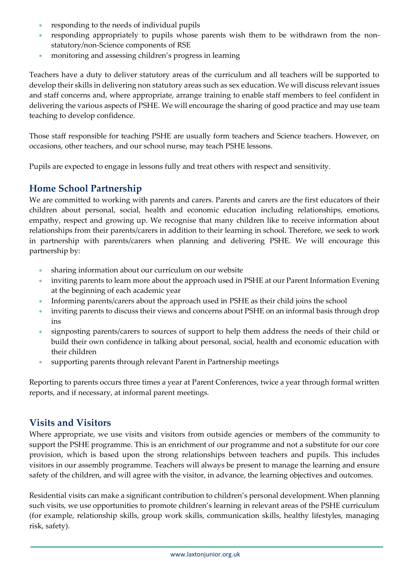- responding to the needs of individual pupils
- responding appropriately to pupils whose parents wish them to be withdrawn from the nonstatutory/non-Science components of RSE
- monitoring and assessing children's progress in learning

Teachers have a duty to deliver statutory areas of the curriculum and all teachers will be supported to develop their skills in delivering non statutory areas such as sex education. We will discuss relevant issues and staff concerns and, where appropriate, arrange training to enable staff members to feel confident in delivering the various aspects of PSHE. We will encourage the sharing of good practice and may use team teaching to develop confidence.

Those staff responsible for teaching PSHE are usually form teachers and Science teachers. However, on occasions, other teachers, and our school nurse, may teach PSHE lessons.

Pupils are expected to engage in lessons fully and treat others with respect and sensitivity.

#### **Home School Partnership**

We are committed to working with parents and carers. Parents and carers are the first educators of their children about personal, social, health and economic education including relationships, emotions, empathy, respect and growing up. We recognise that many children like to receive information about relationships from their parents/carers in addition to their learning in school. Therefore, we seek to work in partnership with parents/carers when planning and delivering PSHE. We will encourage this partnership by:

- sharing information about our curriculum on our website
- inviting parents to learn more about the approach used in PSHE at our Parent Information Evening at the beginning of each academic year
- Informing parents/carers about the approach used in PSHE as their child joins the school
- inviting parents to discuss their views and concerns about PSHE on an informal basis through drop ins
- signposting parents/carers to sources of support to help them address the needs of their child or build their own confidence in talking about personal, social, health and economic education with their children
- supporting parents through relevant Parent in Partnership meetings

Reporting to parents occurs three times a year at Parent Conferences, twice a year through formal written reports, and if necessary, at informal parent meetings.

#### **Visits and Visitors**

Where appropriate, we use visits and visitors from outside agencies or members of the community to support the PSHE programme. This is an enrichment of our programme and not a substitute for our core provision, which is based upon the strong relationships between teachers and pupils. This includes visitors in our assembly programme. Teachers will always be present to manage the learning and ensure safety of the children, and will agree with the visitor, in advance, the learning objectives and outcomes.

Residential visits can make a significant contribution to children's personal development. When planning such visits, we use opportunities to promote children's learning in relevant areas of the PSHE curriculum (for example, relationship skills, group work skills, communication skills, healthy lifestyles, managing risk, safety).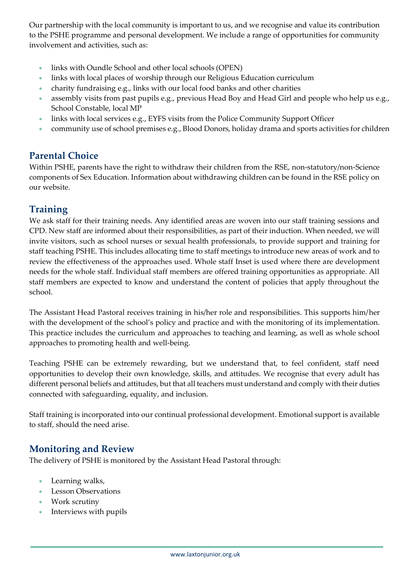Our partnership with the local community is important to us, and we recognise and value its contribution to the PSHE programme and personal development. We include a range of opportunities for community involvement and activities, such as:

- links with Oundle School and other local schools (OPEN)
- links with local places of worship through our Religious Education curriculum
- charity fundraising e.g., links with our local food banks and other charities
- assembly visits from past pupils e.g., previous Head Boy and Head Girl and people who help us e.g., School Constable, local MP
- links with local services e.g., EYFS visits from the Police Community Support Officer
- community use of school premises e.g., Blood Donors, holiday drama and sports activities for children

#### **Parental Choice**

Within PSHE, parents have the right to withdraw their children from the RSE, non-statutory/non-Science components of Sex Education. Information about withdrawing children can be found in the RSE policy on our website.

### **Training**

We ask staff for their training needs. Any identified areas are woven into our staff training sessions and CPD. New staff are informed about their responsibilities, as part of their induction. When needed, we will invite visitors, such as school nurses or sexual health professionals, to provide support and training for staff teaching PSHE. This includes allocating time to staff meetings to introduce new areas of work and to review the effectiveness of the approaches used. Whole staff Inset is used where there are development needs for the whole staff. Individual staff members are offered training opportunities as appropriate. All staff members are expected to know and understand the content of policies that apply throughout the school.

The Assistant Head Pastoral receives training in his/her role and responsibilities. This supports him/her with the development of the school's policy and practice and with the monitoring of its implementation. This practice includes the curriculum and approaches to teaching and learning, as well as whole school approaches to promoting health and well-being.

Teaching PSHE can be extremely rewarding, but we understand that, to feel confident, staff need opportunities to develop their own knowledge, skills, and attitudes. We recognise that every adult has different personal beliefs and attitudes, but that all teachers must understand and comply with their duties connected with safeguarding, equality, and inclusion.

Staff training is incorporated into our continual professional development. Emotional support is available to staff, should the need arise.

#### **Monitoring and Review**

The delivery of PSHE is monitored by the Assistant Head Pastoral through:

- Learning walks,
- Lesson Observations
- Work scrutiny
- Interviews with pupils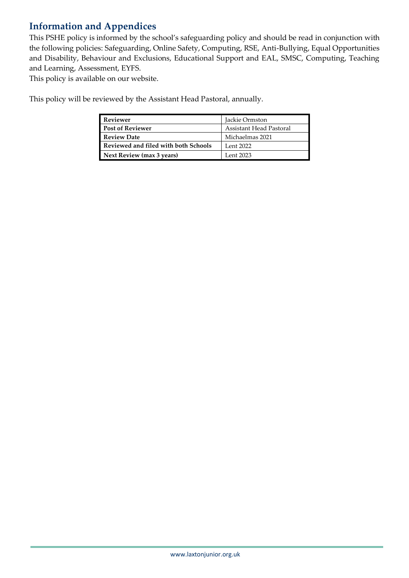## **Information and Appendices**

This PSHE policy is informed by the school's safeguarding policy and should be read in conjunction with the following policies: Safeguarding, Online Safety, Computing, RSE, Anti-Bullying, Equal Opportunities and Disability, Behaviour and Exclusions, Educational Support and EAL, SMSC, Computing, Teaching and Learning, Assessment, EYFS.

This policy is available on our website.

This policy will be reviewed by the Assistant Head Pastoral, annually.

| <b>Reviewer</b>                      | Jackie Ormston          |
|--------------------------------------|-------------------------|
| <b>Post of Reviewer</b>              | Assistant Head Pastoral |
| <b>Review Date</b>                   | Michaelmas 2021         |
| Reviewed and filed with both Schools | Lent 2022               |
| Next Review (max 3 years)            | Lent 2023               |